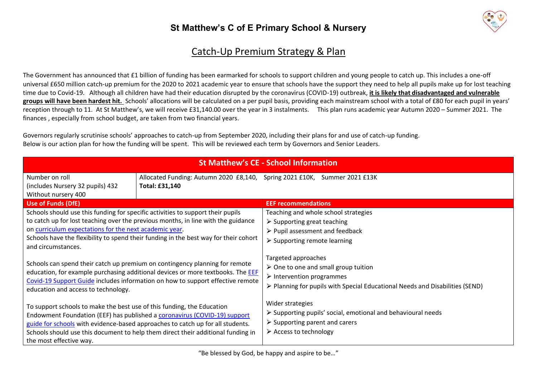

#### Catch-Up Premium Strategy & Plan

The Government has announced that £1 billion of funding has been earmarked for schools to support children and young people to catch up. This includes a one-off universal £650 million catch-up premium for the 2020 to 2021 academic year to ensure that schools have the support they need to help all pupils make up for lost teaching time due to Covid-19. Although all children have had their education disrupted by the coronavirus (COVID-19) outbreak, **it is likely that disadvantaged and vulnerable groups will have been hardest hit.** Schools' allocations will be calculated on a per pupil basis, providing each mainstream school with a total of £80 for each pupil in years' reception through to 11. At St Matthew's, we will receive £31,140.00 over the year in 3 instalments. This plan runs academic year Autumn 2020 – Summer 2021. The finances , especially from school budget, are taken from two financial years.

Governors regularly scrutinise schools' approaches to catch-up from September 2020, including their plans for and use of catch-up funding. Below is our action plan for how the funding will be spent. This will be reviewed each term by Governors and Senior Leaders.

| <b>St Matthew's CE - School Information</b>                                                                                                                                                                                                                                                                                                          |                                                                                             |                                                                                                                                                                                                        |  |
|------------------------------------------------------------------------------------------------------------------------------------------------------------------------------------------------------------------------------------------------------------------------------------------------------------------------------------------------------|---------------------------------------------------------------------------------------------|--------------------------------------------------------------------------------------------------------------------------------------------------------------------------------------------------------|--|
| Number on roll<br>(includes Nursery 32 pupils) 432<br>Without nursery 400                                                                                                                                                                                                                                                                            | Allocated Funding: Autumn 2020 £8,140, Spring 2021 £10K, Summer 2021 £13K<br>Total: £31,140 |                                                                                                                                                                                                        |  |
| <b>Use of Funds (DfE)</b>                                                                                                                                                                                                                                                                                                                            |                                                                                             | <b>EEF recommendations</b>                                                                                                                                                                             |  |
| Schools should use this funding for specific activities to support their pupils<br>to catch up for lost teaching over the previous months, in line with the guidance<br>on curriculum expectations for the next academic year.<br>Schools have the flexibility to spend their funding in the best way for their cohort<br>and circumstances.         |                                                                                             | Teaching and whole school strategies<br>$\triangleright$ Supporting great teaching<br>$\triangleright$ Pupil assessment and feedback<br>$\triangleright$ Supporting remote learning                    |  |
| Schools can spend their catch up premium on contingency planning for remote<br>education, for example purchasing additional devices or more textbooks. The <b>EEF</b><br>Covid-19 Support Guide includes information on how to support effective remote<br>education and access to technology.                                                       |                                                                                             | Targeted approaches<br>$\triangleright$ One to one and small group tuition<br>$\triangleright$ Intervention programmes<br>▶ Planning for pupils with Special Educational Needs and Disabilities (SEND) |  |
| To support schools to make the best use of this funding, the Education<br>Endowment Foundation (EEF) has published a coronavirus (COVID-19) support<br>guide for schools with evidence-based approaches to catch up for all students.<br>Schools should use this document to help them direct their additional funding in<br>the most effective way. |                                                                                             | Wider strategies<br>$\triangleright$ Supporting pupils' social, emotional and behavioural needs<br>$\triangleright$ Supporting parent and carers<br>$\triangleright$ Access to technology              |  |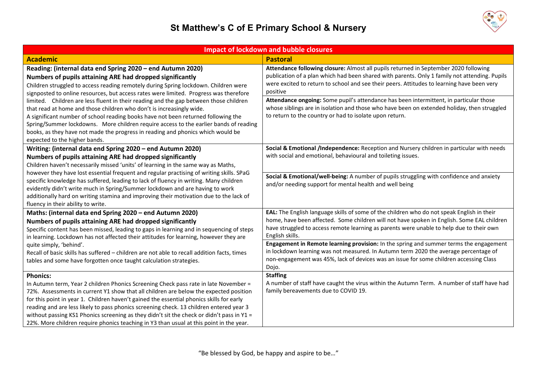

| <b>Impact of lockdown and bubble closures</b>                                                                                                                                                                                                                                                                                                                                                                                                                                                                                                                                   |                                                                                                                                                                                                                                                                                                         |  |  |
|---------------------------------------------------------------------------------------------------------------------------------------------------------------------------------------------------------------------------------------------------------------------------------------------------------------------------------------------------------------------------------------------------------------------------------------------------------------------------------------------------------------------------------------------------------------------------------|---------------------------------------------------------------------------------------------------------------------------------------------------------------------------------------------------------------------------------------------------------------------------------------------------------|--|--|
| <b>Academic</b>                                                                                                                                                                                                                                                                                                                                                                                                                                                                                                                                                                 | <b>Pastoral</b>                                                                                                                                                                                                                                                                                         |  |  |
| Reading: (internal data end Spring 2020 - end Autumn 2020)<br>Numbers of pupils attaining ARE had dropped significantly<br>Children struggled to access reading remotely during Spring lockdown. Children were<br>signposted to online resources, but access rates were limited. Progress was therefore                                                                                                                                                                                                                                                                         | Attendance following closure: Almost all pupils returned in September 2020 following<br>publication of a plan which had been shared with parents. Only 1 family not attending. Pupils<br>were excited to return to school and see their peers. Attitudes to learning have been very<br>positive         |  |  |
| limited. Children are less fluent in their reading and the gap between those children<br>that read at home and those children who don't is increasingly wide.<br>A significant number of school reading books have not been returned following the<br>Spring/Summer lockdowns. More children require access to the earlier bands of reading<br>books, as they have not made the progress in reading and phonics which would be<br>expected to the higher bands.                                                                                                                 | Attendance ongoing: Some pupil's attendance has been intermittent, in particular those<br>whose siblings are in isolation and those who have been on extended holiday, then struggled<br>to return to the country or had to isolate upon return.                                                        |  |  |
| Writing: (internal data end Spring 2020 - end Autumn 2020)<br>Numbers of pupils attaining ARE had dropped significantly<br>Children haven't necessarily missed 'units' of learning in the same way as Maths,                                                                                                                                                                                                                                                                                                                                                                    | Social & Emotional /Independence: Reception and Nursery children in particular with needs<br>with social and emotional, behavioural and toileting issues.                                                                                                                                               |  |  |
| however they have lost essential frequent and regular practising of writing skills. SPaG<br>specific knowledge has suffered, leading to lack of fluency in writing. Many children<br>evidently didn't write much in Spring/Summer lockdown and are having to work<br>additionally hard on writing stamina and improving their motivation due to the lack of<br>fluency in their ability to write.                                                                                                                                                                               | Social & Emotional/well-being: A number of pupils struggling with confidence and anxiety<br>and/or needing support for mental health and well being                                                                                                                                                     |  |  |
| Maths: (internal data end Spring 2020 - end Autumn 2020)<br>Numbers of pupils attaining ARE had dropped significantly<br>Specific content has been missed, leading to gaps in learning and in sequencing of steps<br>in learning. Lockdown has not affected their attitudes for learning, however they are                                                                                                                                                                                                                                                                      | EAL: The English language skills of some of the children who do not speak English in their<br>home, have been affected. Some children will not have spoken in English. Some EAL children<br>have struggled to access remote learning as parents were unable to help due to their own<br>English skills. |  |  |
| quite simply, 'behind'.<br>Recall of basic skills has suffered - children are not able to recall addition facts, times<br>tables and some have forgotten once taught calculation strategies.                                                                                                                                                                                                                                                                                                                                                                                    | Engagement in Remote learning provision: In the spring and summer terms the engagement<br>in lockdown learning was not measured. In Autumn term 2020 the average percentage of<br>non-engagement was 45%, lack of devices was an issue for some children accessing Class<br>Dojo.                       |  |  |
| <b>Phonics:</b><br>In Autumn term, Year 2 children Phonics Screening Check pass rate in late November =<br>72%. Assessments in current Y1 show that all children are below the expected position<br>for this point in year 1. Children haven't gained the essential phonics skills for early<br>reading and are less likely to pass phonics screening check. 13 children entered year 3<br>without passing KS1 Phonics screening as they didn't sit the check or didn't pass in Y1 =<br>22%. More children require phonics teaching in Y3 than usual at this point in the year. | <b>Staffing</b><br>A number of staff have caught the virus within the Autumn Term. A number of staff have had<br>family bereavements due to COVID 19.                                                                                                                                                   |  |  |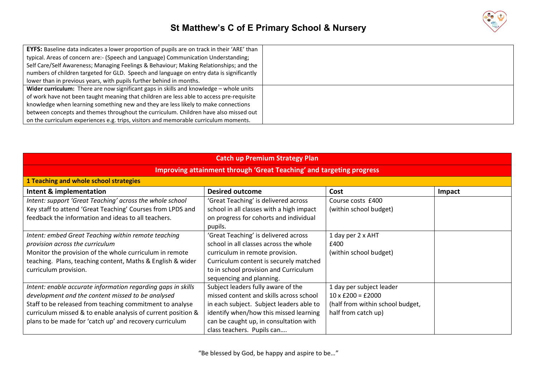| <b>EYFS:</b> Baseline data indicates a lower proportion of pupils are on track in their 'ARE' than |  |
|----------------------------------------------------------------------------------------------------|--|
| typical. Areas of concern are:- (Speech and Language) Communication Understanding;                 |  |
| Self Care/Self Awareness; Managing Feelings & Behaviour; Making Relationships; and the             |  |
| numbers of children targeted for GLD. Speech and language on entry data is significantly           |  |
| lower than in previous years, with pupils further behind in months.                                |  |
| Wider curriculum: There are now significant gaps in skills and knowledge - whole units             |  |
| of work have not been taught meaning that children are less able to access pre-requisite           |  |
| knowledge when learning something new and they are less likely to make connections                 |  |
| between concepts and themes throughout the curriculum. Children have also missed out               |  |
| on the curriculum experiences e.g. trips, visitors and memorable curriculum moments.               |  |

| <b>Catch up Premium Strategy Plan</b>                                       |                                          |                                  |        |
|-----------------------------------------------------------------------------|------------------------------------------|----------------------------------|--------|
| <b>Improving attainment through 'Great Teaching' and targeting progress</b> |                                          |                                  |        |
| 1 Teaching and whole school strategies                                      |                                          |                                  |        |
| Intent & implementation                                                     | <b>Desired outcome</b>                   | Cost                             | Impact |
| Intent: support 'Great Teaching' across the whole school                    | 'Great Teaching' is delivered across     | Course costs £400                |        |
| Key staff to attend 'Great Teaching' Courses from LPDS and                  | school in all classes with a high impact | (within school budget)           |        |
| feedback the information and ideas to all teachers.                         | on progress for cohorts and individual   |                                  |        |
|                                                                             | pupils.                                  |                                  |        |
| Intent: embed Great Teaching within remote teaching                         | 'Great Teaching' is delivered across     | 1 day per 2 x AHT                |        |
| provision across the curriculum                                             | school in all classes across the whole   | £400                             |        |
| Monitor the provision of the whole curriculum in remote                     | curriculum in remote provision.          | (within school budget)           |        |
| teaching. Plans, teaching content, Maths & English & wider                  | Curriculum content is securely matched   |                                  |        |
| curriculum provision.                                                       | to in school provision and Curriculum    |                                  |        |
|                                                                             | sequencing and planning.                 |                                  |        |
| Intent: enable accurate information regarding gaps in skills                | Subject leaders fully aware of the       | 1 day per subject leader         |        |
| development and the content missed to be analysed                           | missed content and skills across school  | $10 \times £200 = £2000$         |        |
| Staff to be released from teaching commitment to analyse                    | in each subject. Subject leaders able to | (half from within school budget, |        |
| curriculum missed & to enable analysis of current position &                | identify when/how this missed learning   | half from catch up)              |        |
| plans to be made for 'catch up' and recovery curriculum                     | can be caught up, in consultation with   |                                  |        |
|                                                                             | class teachers. Pupils can               |                                  |        |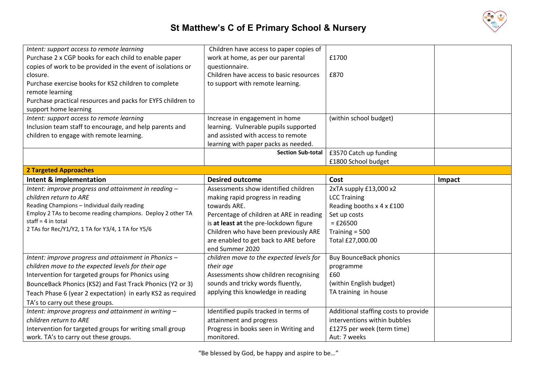

| Intent: support access to remote learning                   | Children have access to paper copies of  |                                      |        |
|-------------------------------------------------------------|------------------------------------------|--------------------------------------|--------|
| Purchase 2 x CGP books for each child to enable paper       | work at home, as per our parental        | £1700                                |        |
| copies of work to be provided in the event of isolations or | questionnaire.                           |                                      |        |
| closure.                                                    | Children have access to basic resources  | £870                                 |        |
| Purchase exercise books for KS2 children to complete        | to support with remote learning.         |                                      |        |
| remote learning                                             |                                          |                                      |        |
| Purchase practical resources and packs for EYFS children to |                                          |                                      |        |
| support home learning                                       |                                          |                                      |        |
| Intent: support access to remote learning                   | Increase in engagement in home           | (within school budget)               |        |
| Inclusion team staff to encourage, and help parents and     | learning. Vulnerable pupils supported    |                                      |        |
| children to engage with remote learning.                    | and assisted with access to remote       |                                      |        |
|                                                             | learning with paper packs as needed.     |                                      |        |
|                                                             | <b>Section Sub-total</b>                 | £3570 Catch up funding               |        |
|                                                             |                                          | £1800 School budget                  |        |
| <b>2 Targeted Approaches</b>                                |                                          |                                      |        |
| Intent & implementation                                     | <b>Desired outcome</b>                   | Cost                                 | Impact |
| Intent: improve progress and attainment in reading -        | Assessments show identified children     | 2xTA supply £13,000 x2               |        |
| children return to ARE                                      | making rapid progress in reading         | <b>LCC Training</b>                  |        |
| Reading Champions - Individual daily reading                | towards ARE.                             | Reading booths x 4 x £100            |        |
| Employ 2 TAs to become reading champions. Deploy 2 other TA | Percentage of children at ARE in reading | Set up costs                         |        |
| staff = $4$ in total                                        | is at least at the pre-lockdown figure   | $= £26500$                           |        |
| 2 TAs for Rec/Y1/Y2, 1 TA for Y3/4, 1 TA for Y5/6           | Children who have been previously ARE    | Training $=$ 500                     |        |
|                                                             | are enabled to get back to ARE before    | Total £27,000.00                     |        |
|                                                             | end Summer 2020                          |                                      |        |
| Intent: improve progress and attainment in Phonics -        | children move to the expected levels for | <b>Buy BounceBack phonics</b>        |        |
| children move to the expected levels for their age          | their age                                | programme                            |        |
| Intervention for targeted groups for Phonics using          | Assessments show children recognising    | £60                                  |        |
| BounceBack Phonics (KS2) and Fast Track Phonics (Y2 or 3)   | sounds and tricky words fluently,        | (within English budget)              |        |
| Teach Phase 6 (year 2 expectation) in early KS2 as required | applying this knowledge in reading       | TA training in house                 |        |
| TA's to carry out these groups.                             |                                          |                                      |        |
| Intent: improve progress and attainment in writing -        | Identified pupils tracked in terms of    | Additional staffing costs to provide |        |
| children return to ARE                                      | attainment and progress                  | interventions within bubbles         |        |
| Intervention for targeted groups for writing small group    | Progress in books seen in Writing and    | £1275 per week (term time)           |        |
| work. TA's to carry out these groups.                       | monitored.                               | Aut: 7 weeks                         |        |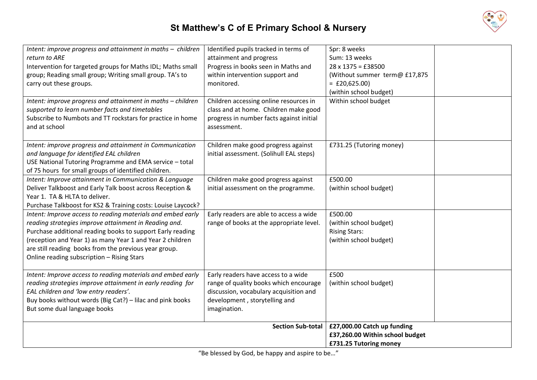

| Intent: improve progress and attainment in maths - children<br>return to ARE<br>Intervention for targeted groups for Maths IDL; Maths small<br>group; Reading small group; Writing small group. TA's to<br>carry out these groups.<br>Intent: improve progress and attainment in maths - children<br>supported to learn number facts and timetables<br>Subscribe to Numbots and TT rockstars for practice in home<br>and at school | Identified pupils tracked in terms of<br>attainment and progress<br>Progress in books seen in Maths and<br>within intervention support and<br>monitored.<br>Children accessing online resources in<br>class and at home. Children make good<br>progress in number facts against initial<br>assessment. | Spr: 8 weeks<br>Sum: 13 weeks<br>$28 \times 1375 = \text{\textsterling}38500$<br>(Without summer term@ £17,875<br>$=$ £20,625.00)<br>(within school budget)<br>Within school budget |  |
|------------------------------------------------------------------------------------------------------------------------------------------------------------------------------------------------------------------------------------------------------------------------------------------------------------------------------------------------------------------------------------------------------------------------------------|--------------------------------------------------------------------------------------------------------------------------------------------------------------------------------------------------------------------------------------------------------------------------------------------------------|-------------------------------------------------------------------------------------------------------------------------------------------------------------------------------------|--|
| Intent: improve progress and attainment in Communication<br>and language for identified EAL children<br>USE National Tutoring Programme and EMA service - total<br>of 75 hours for small groups of identified children.                                                                                                                                                                                                            | Children make good progress against<br>initial assessment. (Solihull EAL steps)                                                                                                                                                                                                                        | £731.25 (Tutoring money)                                                                                                                                                            |  |
| Intent: Improve attainment in Communication & Language<br>Deliver Talkboost and Early Talk boost across Reception &<br>Year 1. TA & HLTA to deliver.<br>Purchase Talkboost for KS2 & Training costs: Louise Laycock?                                                                                                                                                                                                               | Children make good progress against<br>initial assessment on the programme.                                                                                                                                                                                                                            | £500.00<br>(within school budget)                                                                                                                                                   |  |
| Intent: Improve access to reading materials and embed early<br>reading strategies improve attainment in Reading and.<br>Purchase additional reading books to support Early reading<br>(reception and Year 1) as many Year 1 and Year 2 children<br>are still reading books from the previous year group.<br>Online reading subscription - Rising Stars                                                                             | Early readers are able to access a wide<br>range of books at the appropriate level.                                                                                                                                                                                                                    | £500.00<br>(within school budget)<br><b>Rising Stars:</b><br>(within school budget)                                                                                                 |  |
| Intent: Improve access to reading materials and embed early<br>reading strategies improve attainment in early reading for<br>EAL children and 'low entry readers'.<br>Buy books without words (Big Cat?) - lilac and pink books<br>But some dual language books                                                                                                                                                                    | Early readers have access to a wide<br>range of quality books which encourage<br>discussion, vocabulary acquisition and<br>development, storytelling and<br>imagination.                                                                                                                               | £500<br>(within school budget)                                                                                                                                                      |  |
|                                                                                                                                                                                                                                                                                                                                                                                                                                    | <b>Section Sub-total</b>                                                                                                                                                                                                                                                                               | £27,000.00 Catch up funding<br>£37,260.00 Within school budget<br>£731.25 Tutoring money                                                                                            |  |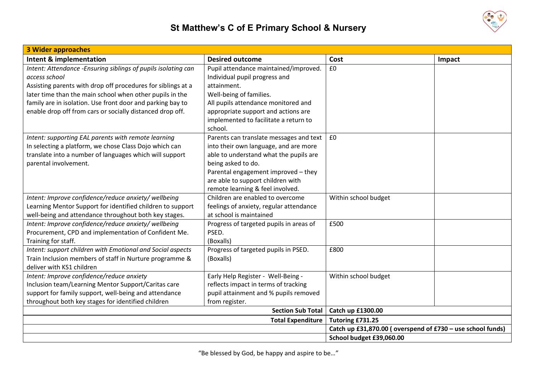



| <b>3 Wider approaches</b>                                     |                                         |                                                            |        |
|---------------------------------------------------------------|-----------------------------------------|------------------------------------------------------------|--------|
| <b>Intent &amp; implementation</b>                            | <b>Desired outcome</b>                  | Cost                                                       | Impact |
| Intent: Attendance -Ensuring siblings of pupils isolating can | Pupil attendance maintained/improved.   | £0                                                         |        |
| access school                                                 | Individual pupil progress and           |                                                            |        |
| Assisting parents with drop off procedures for siblings at a  | attainment.                             |                                                            |        |
| later time than the main school when other pupils in the      | Well-being of families.                 |                                                            |        |
| family are in isolation. Use front door and parking bay to    | All pupils attendance monitored and     |                                                            |        |
| enable drop off from cars or socially distanced drop off.     | appropriate support and actions are     |                                                            |        |
|                                                               | implemented to facilitate a return to   |                                                            |        |
|                                                               | school.                                 |                                                            |        |
| Intent: supporting EAL parents with remote learning           | Parents can translate messages and text | £0                                                         |        |
| In selecting a platform, we chose Class Dojo which can        | into their own language, and are more   |                                                            |        |
| translate into a number of languages which will support       | able to understand what the pupils are  |                                                            |        |
| parental involvement.                                         | being asked to do.                      |                                                            |        |
|                                                               | Parental engagement improved - they     |                                                            |        |
|                                                               | are able to support children with       |                                                            |        |
|                                                               | remote learning & feel involved.        |                                                            |        |
| Intent: Improve confidence/reduce anxiety/ wellbeing          | Children are enabled to overcome        | Within school budget                                       |        |
| Learning Mentor Support for identified children to support    | feelings of anxiety, regular attendance |                                                            |        |
| well-being and attendance throughout both key stages.         | at school is maintained                 |                                                            |        |
| Intent: Improve confidence/reduce anxiety/ wellbeing          | Progress of targeted pupils in areas of | £500                                                       |        |
| Procurement, CPD and implementation of Confident Me.          | PSED.                                   |                                                            |        |
| Training for staff.                                           | (Boxalls)                               |                                                            |        |
| Intent: support children with Emotional and Social aspects    | Progress of targeted pupils in PSED.    | £800                                                       |        |
| Train Inclusion members of staff in Nurture programme &       | (Boxalls)                               |                                                            |        |
| deliver with KS1 children                                     |                                         |                                                            |        |
| Intent: Improve confidence/reduce anxiety                     | Early Help Register - Well-Being -      | Within school budget                                       |        |
| Inclusion team/Learning Mentor Support/Caritas care           | reflects impact in terms of tracking    |                                                            |        |
| support for family support, well-being and attendance         | pupil attainment and % pupils removed   |                                                            |        |
| throughout both key stages for identified children            | from register.                          |                                                            |        |
|                                                               | <b>Section Sub Total</b>                | Catch up £1300.00                                          |        |
|                                                               | <b>Total Expenditure</b>                | Tutoring £731.25                                           |        |
|                                                               |                                         | Catch up £31,870.00 (overspend of £730 - use school funds) |        |
|                                                               |                                         | School budget £39,060.00                                   |        |